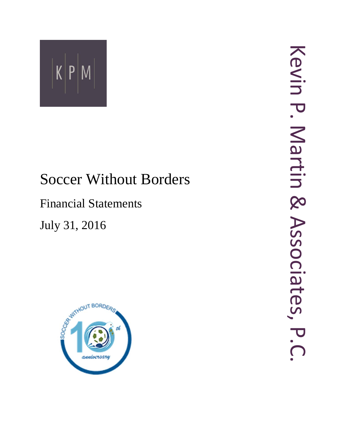

## Financial Statements

July 31, 2016

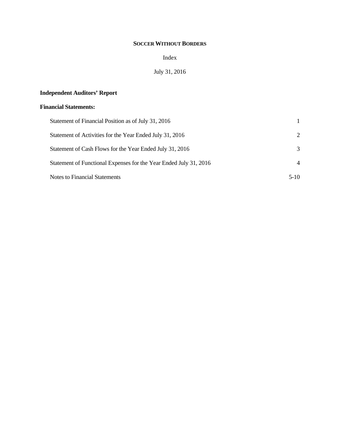Index

## July 31, 2016

## **Independent Auditors' Report**

#### **Financial Statements:**

| Statement of Financial Position as of July 31, 2016               |                |
|-------------------------------------------------------------------|----------------|
| Statement of Activities for the Year Ended July 31, 2016          | 2              |
| Statement of Cash Flows for the Year Ended July 31, 2016          | $\mathcal{R}$  |
| Statement of Functional Expenses for the Year Ended July 31, 2016 | $\overline{4}$ |
| Notes to Financial Statements                                     | $5-10$         |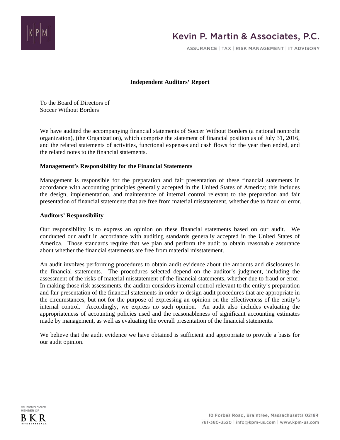

## Kevin P. Martin & Associates, P.C.

ASSURANCE | TAX | RISK MANAGEMENT | IT ADVISORY

#### **Independent Auditors' Report**

To the Board of Directors of Soccer Without Borders

We have audited the accompanying financial statements of Soccer Without Borders (a national nonprofit organization), (the Organization), which comprise the statement of financial position as of July 31, 2016, and the related statements of activities, functional expenses and cash flows for the year then ended, and the related notes to the financial statements.

#### **Management's Responsibility for the Financial Statements**

Management is responsible for the preparation and fair presentation of these financial statements in accordance with accounting principles generally accepted in the United States of America; this includes the design, implementation, and maintenance of internal control relevant to the preparation and fair presentation of financial statements that are free from material misstatement, whether due to fraud or error.

#### **Auditors' Responsibility**

Our responsibility is to express an opinion on these financial statements based on our audit. We conducted our audit in accordance with auditing standards generally accepted in the United States of America. Those standards require that we plan and perform the audit to obtain reasonable assurance about whether the financial statements are free from material misstatement.

An audit involves performing procedures to obtain audit evidence about the amounts and disclosures in the financial statements. The procedures selected depend on the auditor's judgment, including the assessment of the risks of material misstatement of the financial statements, whether due to fraud or error. In making those risk assessments, the auditor considers internal control relevant to the entity's preparation and fair presentation of the financial statements in order to design audit procedures that are appropriate in the circumstances, but not for the purpose of expressing an opinion on the effectiveness of the entity's internal control. Accordingly, we express no such opinion. An audit also includes evaluating the appropriateness of accounting policies used and the reasonableness of significant accounting estimates made by management, as well as evaluating the overall presentation of the financial statements.

We believe that the audit evidence we have obtained is sufficient and appropriate to provide a basis for our audit opinion.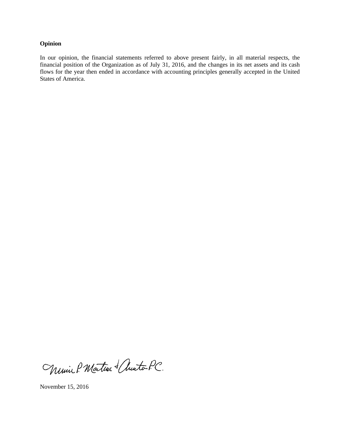#### **Opinion**

In our opinion, the financial statements referred to above present fairly, in all material respects, the financial position of the Organization as of July 31, 2016, and the changes in its net assets and its cash flows for the year then ended in accordance with accounting principles generally accepted in the United States of America.

Nuin P. Martin & Churto-P.C.

November 15, 2016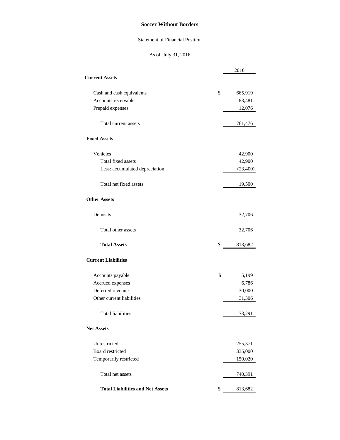#### Statement of Financial Position

#### As of July 31, 2016

|                                         | 2016          |
|-----------------------------------------|---------------|
| <b>Current Assets</b>                   |               |
| Cash and cash equivalents               | \$<br>665,919 |
| Accounts receivable                     | 83,481        |
| Prepaid expenses                        | 12,076        |
| Total current assets                    | 761,476       |
| <b>Fixed Assets</b>                     |               |
| Vehicles                                | 42,900        |
| Total fixed assets                      | 42,900        |
| Less: accumulated depreciation          | (23,400)      |
| Total net fixed assets                  | 19,500        |
| <b>Other Assets</b>                     |               |
| Deposits                                | 32,706        |
| Total other assets                      | 32,706        |
| <b>Total Assets</b>                     | \$<br>813,682 |
| <b>Current Liabilities</b>              |               |
| Accounts payable                        | \$<br>5,199   |
| Accrued expenses                        | 6,786         |
| Deferred revenue                        | 30,000        |
| Other current liabilities               | 31,306        |
| Total liabilities                       | 73,291        |
| <b>Net Assets</b>                       |               |
| Unrestricted                            | 255,371       |
| Board restricted                        | 335,000       |
| Temporarily restricted                  | 150,020       |
| Total net assets                        | 740,391       |
| <b>Total Liabilities and Net Assets</b> | \$<br>813,682 |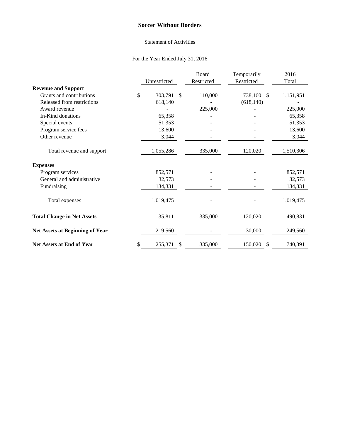#### Statement of Activities

#### For the Year Ended July 31, 2016

|                                        |                                | Board      | Temporarily    | 2016      |
|----------------------------------------|--------------------------------|------------|----------------|-----------|
|                                        | Unrestricted                   | Restricted | Restricted     | Total     |
| <b>Revenue and Support</b>             |                                |            |                |           |
| Grants and contributions               | \$<br>303,791<br>$\mathcal{S}$ | 110,000    | 738,160 \$     | 1,151,951 |
| Released from restrictions             | 618,140                        |            | (618, 140)     |           |
| Award revenue                          |                                | 225,000    |                | 225,000   |
| In-Kind donations                      | 65,358                         |            |                | 65,358    |
| Special events                         | 51,353                         |            |                | 51,353    |
| Program service fees                   | 13,600                         |            |                | 13,600    |
| Other revenue                          | 3,044                          |            |                | 3,044     |
| Total revenue and support              | 1,055,286                      | 335,000    | 120,020        | 1,510,306 |
| <b>Expenses</b>                        |                                |            |                |           |
| Program services                       | 852,571                        |            |                | 852,571   |
| General and administrative             | 32,573                         |            |                | 32,573    |
| Fundraising                            | 134,331                        |            |                | 134,331   |
| Total expenses                         | 1,019,475                      |            |                | 1,019,475 |
| <b>Total Change in Net Assets</b>      | 35,811                         | 335,000    | 120,020        | 490,831   |
| <b>Net Assets at Beginning of Year</b> | 219,560                        |            | 30,000         | 249,560   |
| <b>Net Assets at End of Year</b>       | \$<br>255,371<br><sup>\$</sup> | 335,000    | 150,020<br>-\$ | 740,391   |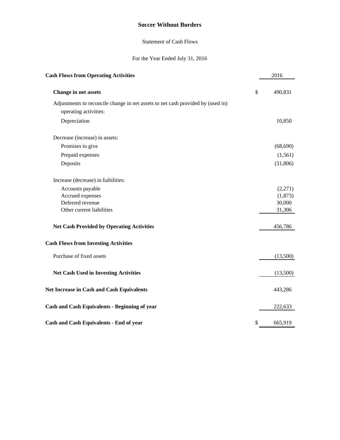#### Statement of Cash Flows

### For the Year Ended July 31, 2016

| <b>Cash Flows from Operating Activities</b>                                     | 2016          |
|---------------------------------------------------------------------------------|---------------|
| <b>Change in net assets</b>                                                     | \$<br>490,831 |
| Adjustments to reconcile change in net assets to net cash provided by (used in) |               |
| operating activities:                                                           |               |
| Depreciation                                                                    | 10,850        |
| Decrease (increase) in assets:                                                  |               |
| Promises to give                                                                | (68, 690)     |
| Prepaid expenses                                                                | (1, 561)      |
| Deposits                                                                        | (31,806)      |
| Increase (decrease) in liabilities:                                             |               |
| Accounts payable                                                                | (2,271)       |
| Accrued expenses                                                                | (1,873)       |
| Deferred revenue                                                                | 30,000        |
| Other current liabilities                                                       | 31,306        |
| <b>Net Cash Provided by Operating Activities</b>                                | 456,786       |
| <b>Cash Flows from Investing Activities</b>                                     |               |
| Purchase of fixed assets                                                        | (13,500)      |
| <b>Net Cash Used in Investing Activities</b>                                    | (13,500)      |
| Net Increase in Cash and Cash Equivalents                                       | 443,286       |
| <b>Cash and Cash Equivalents - Beginning of year</b>                            | 222,633       |
| <b>Cash and Cash Equivalents - End of year</b>                                  | \$<br>665,919 |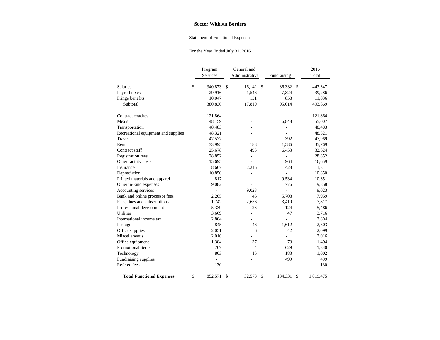#### Statement of Functional Expenses

#### For the Year Ended July 31, 2016

|                                     | Program<br>Services |     | General and<br>Administrative |     | Fundraising |   | 2016<br>Total |
|-------------------------------------|---------------------|-----|-------------------------------|-----|-------------|---|---------------|
|                                     |                     |     |                               |     |             |   |               |
| <b>Salaries</b>                     | \$<br>340,873       | -\$ | 16,142                        | -\$ | 86,332 \$   |   | 443,347       |
| Payroll taxes                       | 29,916              |     | 1,546                         |     | 7,824       |   | 39,286        |
| Fringe benefits                     | 10,047              |     | 131                           |     | 858         |   | 11,036        |
| Subtotal                            | 380,836             |     | 17,819                        |     | 95,014      |   | 493,669       |
| Contract coaches                    | 121,864             |     |                               |     |             |   | 121,864       |
| Meals                               | 48,159              |     |                               |     | 6,848       |   | 55,007        |
| Transportation                      | 48,483              |     |                               |     |             |   | 48,483        |
| Recreational equipment and supplies | 48,321              |     |                               |     |             |   | 48,321        |
| Travel                              | 47,577              |     |                               |     | 392         |   | 47,969        |
| Rent                                | 33,995              |     | 188                           |     | 1,586       |   | 35,769        |
| Contract staff                      | 25,678              |     | 493                           |     | 6,453       |   | 32,624        |
| <b>Registration</b> fees            | 28,852              |     |                               |     |             |   | 28,852        |
| Other facility costs                | 15,695              |     |                               |     | 964         |   | 16,659        |
| Insurance                           | 8,667               |     | 2,216                         |     | 428         |   | 11,311        |
| Depreciation                        | 10,850              |     |                               |     |             |   | 10,850        |
| Printed materials and apparel       | 817                 |     |                               |     | 9,534       |   | 10,351        |
| Other in-kind expenses              | 9,082               |     |                               |     | 776         |   | 9,858         |
| Accounting services                 |                     |     | 9,023                         |     |             |   | 9,023         |
| Bank and online processor fees      | 2,205               |     | 46                            |     | 5,708       |   | 7,959         |
| Fees, dues and subscriptions        | 1,742               |     | 2,656                         |     | 3,419       |   | 7,817         |
| Professional development            | 5,339               |     | 23                            |     | 124         |   | 5,486         |
| <b>Utilities</b>                    | 3,669               |     |                               |     | 47          |   | 3,716         |
| International income tax            | 2,804               |     |                               |     |             |   | 2,804         |
| Postage                             | 845                 |     | 46                            |     | 1,612       |   | 2,503         |
| Office supplies                     | 2,051               |     | 6                             |     | 42          |   | 2,099         |
| Miscellaneous                       | 2,016               |     |                               |     |             |   | 2,016         |
| Office equipment                    | 1,384               |     | 37                            |     | 73          |   | 1,494         |
| Promotional items                   | 707                 |     | 4                             |     | 629         |   | 1,340         |
| Technology                          | 803                 |     | 16                            |     | 183         |   | 1,002         |
| <b>Fundraising supplies</b>         |                     |     |                               |     | 499         |   | 499           |
| Referee fees                        | 130                 |     |                               |     | ٠           |   | 130           |
| <b>Total Functional Expenses</b>    | \$<br>852,571       | \$  | 32,573                        | S   | 134,331     | S | 1,019,475     |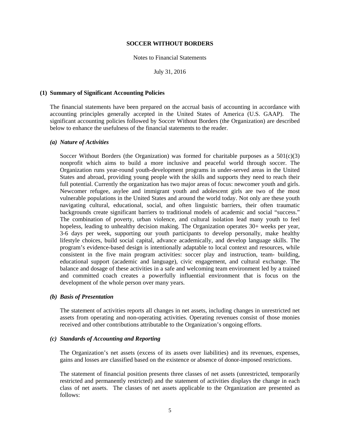#### Notes to Financial Statements

July 31, 2016

#### **(1) Summary of Significant Accounting Policies**

The financial statements have been prepared on the accrual basis of accounting in accordance with accounting principles generally accepted in the United States of America (U.S. GAAP). The significant accounting policies followed by Soccer Without Borders (the Organization) are described below to enhance the usefulness of the financial statements to the reader.

#### *(a) Nature of Activities*

Soccer Without Borders (the Organization) was formed for charitable purposes as a  $501(c)(3)$ nonprofit which aims to build a more inclusive and peaceful world through soccer. The Organization runs year-round youth-development programs in under-served areas in the United States and abroad, providing young people with the skills and supports they need to reach their full potential. Currently the organization has two major areas of focus: newcomer youth and girls. Newcomer refugee, asylee and immigrant youth and adolescent girls are two of the most vulnerable populations in the United States and around the world today. Not only are these youth navigating cultural, educational, social, and often linguistic barriers, their often traumatic backgrounds create significant barriers to traditional models of academic and social "success." The combination of poverty, urban violence, and cultural isolation lead many youth to feel hopeless, leading to unhealthy decision making. The Organization operates 30+ weeks per year, 3-6 days per week, supporting our youth participants to develop personally, make healthy lifestyle choices, build social capital, advance academically, and develop language skills. The program's evidence-based design is intentionally adaptable to local context and resources, while consistent in the five main program activities: soccer play and instruction, team- building, educational support (academic and language), civic engagement, and cultural exchange. The balance and dosage of these activities in a safe and welcoming team environment led by a trained and committed coach creates a powerfully influential environment that is focus on the development of the whole person over many years.

#### *(b) Basis of Presentation*

The statement of activities reports all changes in net assets, including changes in unrestricted net assets from operating and non-operating activities. Operating revenues consist of those monies received and other contributions attributable to the Organization's ongoing efforts.

#### *(c) Standards of Accounting and Reporting*

The Organization's net assets (excess of its assets over liabilities) and its revenues, expenses, gains and losses are classified based on the existence or absence of donor-imposed restrictions.

The statement of financial position presents three classes of net assets (unrestricted, temporarily restricted and permanently restricted) and the statement of activities displays the change in each class of net assets. The classes of net assets applicable to the Organization are presented as follows: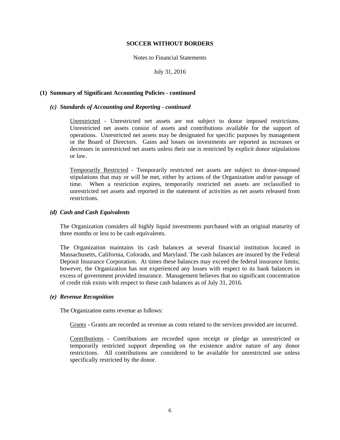#### Notes to Financial Statements

July 31, 2016

#### **(1) Summary of Significant Accounting Policies - continued**

#### *(c) Standards of Accounting and Reporting - continued*

Unrestricted - Unrestricted net assets are not subject to donor imposed restrictions. Unrestricted net assets consist of assets and contributions available for the support of operations. Unrestricted net assets may be designated for specific purposes by management or the Board of Directors. Gains and losses on investments are reported as increases or decreases in unrestricted net assets unless their use is restricted by explicit donor stipulations or law.

Temporarily Restricted - Temporarily restricted net assets are subject to donor-imposed stipulations that may or will be met, either by actions of the Organization and/or passage of time. When a restriction expires, temporarily restricted net assets are reclassified to unrestricted net assets and reported in the statement of activities as net assets released from restrictions.

#### *(d) Cash and Cash Equivalents*

The Organization considers all highly liquid investments purchased with an original maturity of three months or less to be cash equivalents.

The Organization maintains its cash balances at several financial institution located in Massachusetts, California, Colorado, and Maryland. The cash balances are insured by the Federal Deposit Insurance Corporation. At times these balances may exceed the federal insurance limits; however, the Organization has not experienced any losses with respect to its bank balances in excess of government provided insurance. Management believes that no significant concentration of credit risk exists with respect to these cash balances as of July 31, 2016.

#### *(e) Revenue Recognition*

The Organization earns revenue as follows:

Grants - Grants are recorded as revenue as costs related to the services provided are incurred.

Contributions - Contributions are recorded upon receipt or pledge as unrestricted or temporarily restricted support depending on the existence and/or nature of any donor restrictions. All contributions are considered to be available for unrestricted use unless specifically restricted by the donor.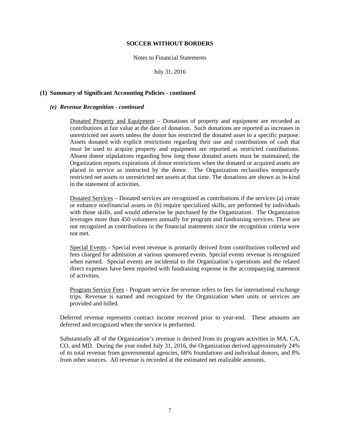#### Notes to Financial Statements

July 31, 2016

#### **(1) Summary of Significant Accounting Policies - continued**

#### *(e) Revenue Recognition - continued*

Donated Property and Equipment – Donations of property and equipment are recorded as contributions at fair value at the date of donation. Such donations are reported as increases in unrestricted net assets unless the donor has restricted the donated asset to a specific purpose. Assets donated with explicit restrictions regarding their use and contributions of cash that must be used to acquire property and equipment are reported as restricted contributions. Absent donor stipulations regarding how long those donated assets must be maintained, the Organization reports expirations of donor restrictions when the donated or acquired assets are placed in service as instructed by the donor. The Organization reclassifies temporarily restricted net assets to unrestricted net assets at that time. The donations are shown as in-kind in the statement of activities.

Donated Services – Donated services are recognized as contributions if the services (a) create or enhance nonfinancial assets or (b) require specialized skills, are performed by individuals with those skills, and would otherwise be purchased by the Organization. The Organization leverages more than 450 volunteers annually for program and fundraising services. These are not recognized as contributions in the financial statements since the recognition criteria were not met.

Special Events - Special event revenue is primarily derived from contributions collected and fees charged for admission at various sponsored events. Special events revenue is recognized when earned. Special events are incidental to the Organization's operations and the related direct expenses have been reported with fundraising expense in the accompanying statement of activities.

Program Service Fees - Program service fee revenue refers to fees for international exchange trips. Revenue is earned and recognized by the Organization when units or services are provided and billed.

Deferred revenue represents contract income received prior to year-end. These amounts are deferred and recognized when the service is performed.

Substantially all of the Organization's revenue is derived from its program activities in MA, CA, CO, and MD. During the year ended July 31, 2016, the Organization derived approximately 24% of its total revenue from governmental agencies, 68% foundations and individual donors, and 8% from other sources. All revenue is recorded at the estimated net realizable amounts.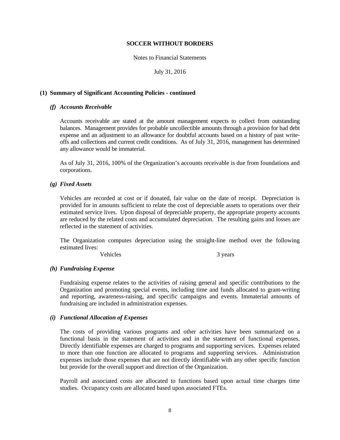#### Notes to Financial Statements

July 31, 2016

#### **(1) Summary of Significant Accounting Policies - continued**

#### *(f) Accounts Receivable*

Accounts receivable are stated at the amount management expects to collect from outstanding balances. Management provides for probable uncollectible amounts through a provision for bad debt expense and an adjustment to an allowance for doubtful accounts based on a history of past writeoffs and collections and current credit conditions. As of July 31, 2016, management has determined any allowance would be immaterial.

As of July 31, 2016, 100% of the Organization's accounts receivable is due from foundations and corporations.

#### *(g) Fixed Assets*

Vehicles are recorded at cost or if donated, fair value on the date of receipt. Depreciation is provided for in amounts sufficient to relate the cost of depreciable assets to operations over their estimated service lives. Upon disposal of depreciable property, the appropriate property accounts are reduced by the related costs and accumulated depreciation. The resulting gains and losses are reflected in the statement of activities.

The Organization computes depreciation using the straight-line method over the following estimated lives:

Vehicles 3 years

#### *(h) Fundraising Expense*

Fundraising expense relates to the activities of raising general and specific contributions to the Organization and promoting special events, including time and funds allocated to grant-writing and reporting, awareness-raising, and specific campaigns and events. Immaterial amounts of fundraising are included in administration expenses.

#### *(i) Functional Allocation of Expenses*

The costs of providing various programs and other activities have been summarized on a functional basis in the statement of activities and in the statement of functional expenses. Directly identifiable expenses are charged to programs and supporting services. Expenses related to more than one function are allocated to programs and supporting services. Administration expenses include those expenses that are not directly identifiable with any other specific function but provide for the overall support and direction of the Organization.

Payroll and associated costs are allocated to functions based upon actual time charges time studies. Occupancy costs are allocated based upon associated FTEs.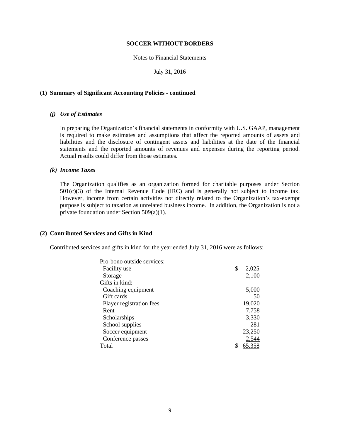#### Notes to Financial Statements

#### July 31, 2016

#### **(1) Summary of Significant Accounting Policies - continued**

#### *(j) Use of Estimates*

In preparing the Organization's financial statements in conformity with U.S. GAAP, management is required to make estimates and assumptions that affect the reported amounts of assets and liabilities and the disclosure of contingent assets and liabilities at the date of the financial statements and the reported amounts of revenues and expenses during the reporting period. Actual results could differ from those estimates.

#### *(k) Income Taxes*

The Organization qualifies as an organization formed for charitable purposes under Section  $501(c)(3)$  of the Internal Revenue Code (IRC) and is generally not subject to income tax. However, income from certain activities not directly related to the Organization's tax-exempt purpose is subject to taxation as unrelated business income. In addition, the Organization is not a private foundation under Section 509(a)(1).

#### **(2) Contributed Services and Gifts in Kind**

Contributed services and gifts in kind for the year ended July 31, 2016 were as follows:

| Pro-bono outside services: |             |
|----------------------------|-------------|
| Facility use               | \$<br>2,025 |
| Storage                    | 2,100       |
| Gifts in kind:             |             |
| Coaching equipment         | 5,000       |
| Gift cards                 | 50          |
| Player registration fees   | 19,020      |
| Rent                       | 7,758       |
| Scholarships               | 3,330       |
| School supplies            | 281         |
| Soccer equipment           | 23,250      |
| Conference passes          | 2,544       |
| Total                      | 65,358      |